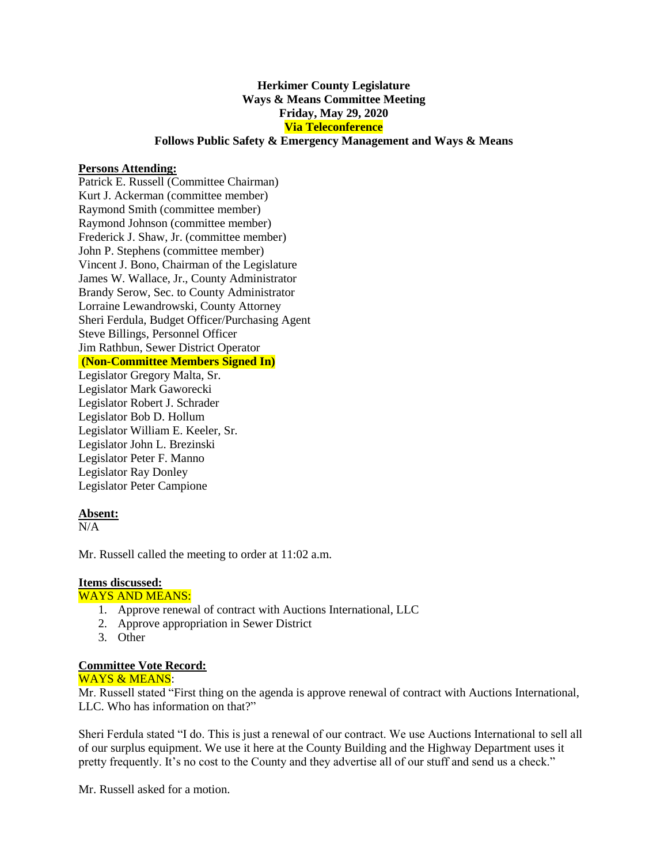# **Herkimer County Legislature Ways & Means Committee Meeting Friday, May 29, 2020 Via Teleconference**

# **Follows Public Safety & Emergency Management and Ways & Means**

### **Persons Attending:**

Patrick E. Russell (Committee Chairman) Kurt J. Ackerman (committee member) Raymond Smith (committee member) Raymond Johnson (committee member) Frederick J. Shaw, Jr. (committee member) John P. Stephens (committee member) Vincent J. Bono, Chairman of the Legislature James W. Wallace, Jr., County Administrator Brandy Serow, Sec. to County Administrator Lorraine Lewandrowski, County Attorney Sheri Ferdula, Budget Officer/Purchasing Agent Steve Billings, Personnel Officer Jim Rathbun, Sewer District Operator **(Non-Committee Members Signed In)**

Legislator Gregory Malta, Sr. Legislator Mark Gaworecki Legislator Robert J. Schrader Legislator Bob D. Hollum Legislator William E. Keeler, Sr. Legislator John L. Brezinski Legislator Peter F. Manno Legislator Ray Donley Legislator Peter Campione

#### **Absent:**

 $N/A$ 

Mr. Russell called the meeting to order at 11:02 a.m.

## **Items discussed:**

#### WAYS AND MEANS:

- 1. Approve renewal of contract with Auctions International, LLC
- 2. Approve appropriation in Sewer District
- 3. Other

### **Committee Vote Record:**

### WAYS & MEANS:

Mr. Russell stated "First thing on the agenda is approve renewal of contract with Auctions International, LLC. Who has information on that?"

Sheri Ferdula stated "I do. This is just a renewal of our contract. We use Auctions International to sell all of our surplus equipment. We use it here at the County Building and the Highway Department uses it pretty frequently. It's no cost to the County and they advertise all of our stuff and send us a check."

Mr. Russell asked for a motion.